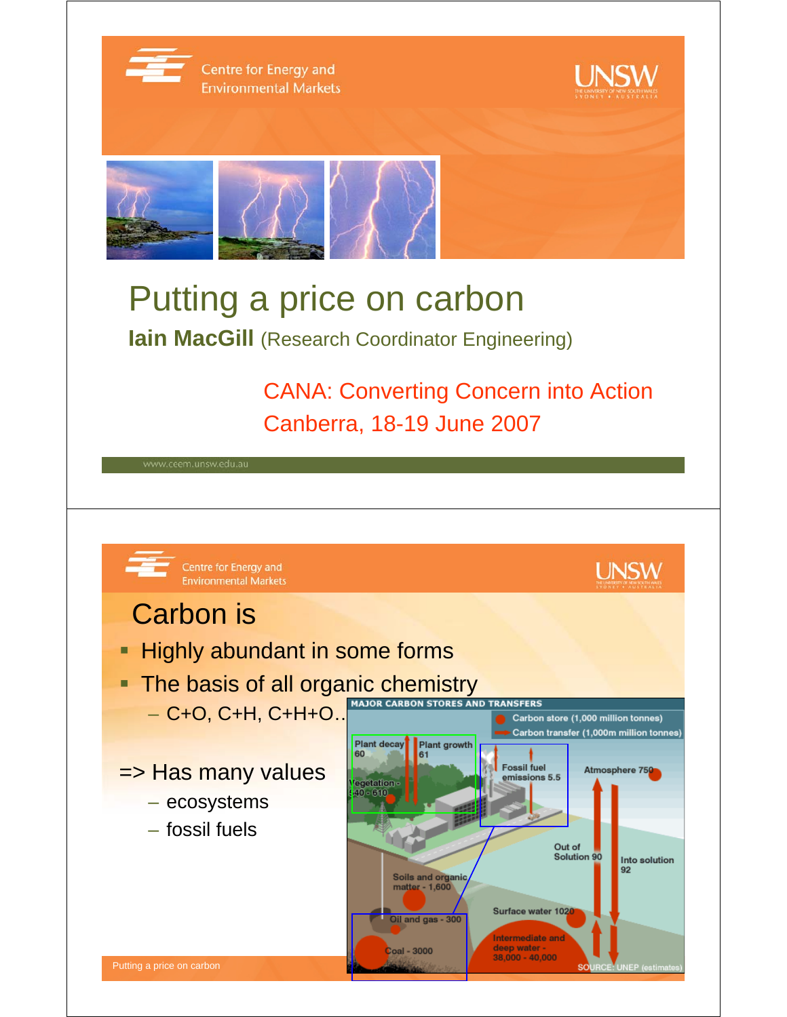

Centre for Energy and **Environmental Markets** 





## Putting a price on carbon

**Iain MacGill** (Research Coordinator Engineering)

CANA: Converting Concern into Action Canberra, 18-19 June 2007

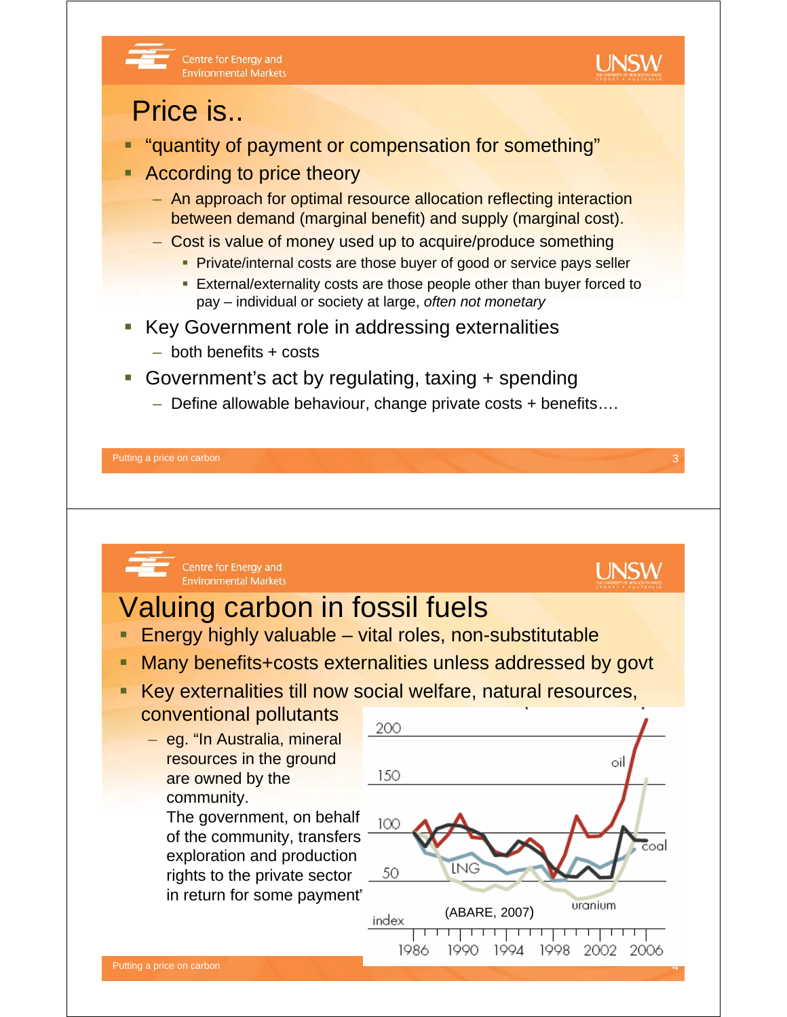

## Centre for Energy and **Environmental Markets**

## Price is..

- "quantity of payment or compensation for something"
- According to price theory
	- An approach for optimal resource allocation reflecting interaction between demand (marginal benefit) and supply (marginal cost).
	- Cost is value of money used up to acquire/produce something
		- Private/internal costs are those buyer of good or service pays seller
		- **External/externality costs are those people other than buyer forced to** pay – individual or society at large, *often not monetary*
- Key Government role in addressing externalities
	- both benefits + costs
- Government's act by regulating, taxing + spending
	- Define allowable behaviour, change private costs + benefits….

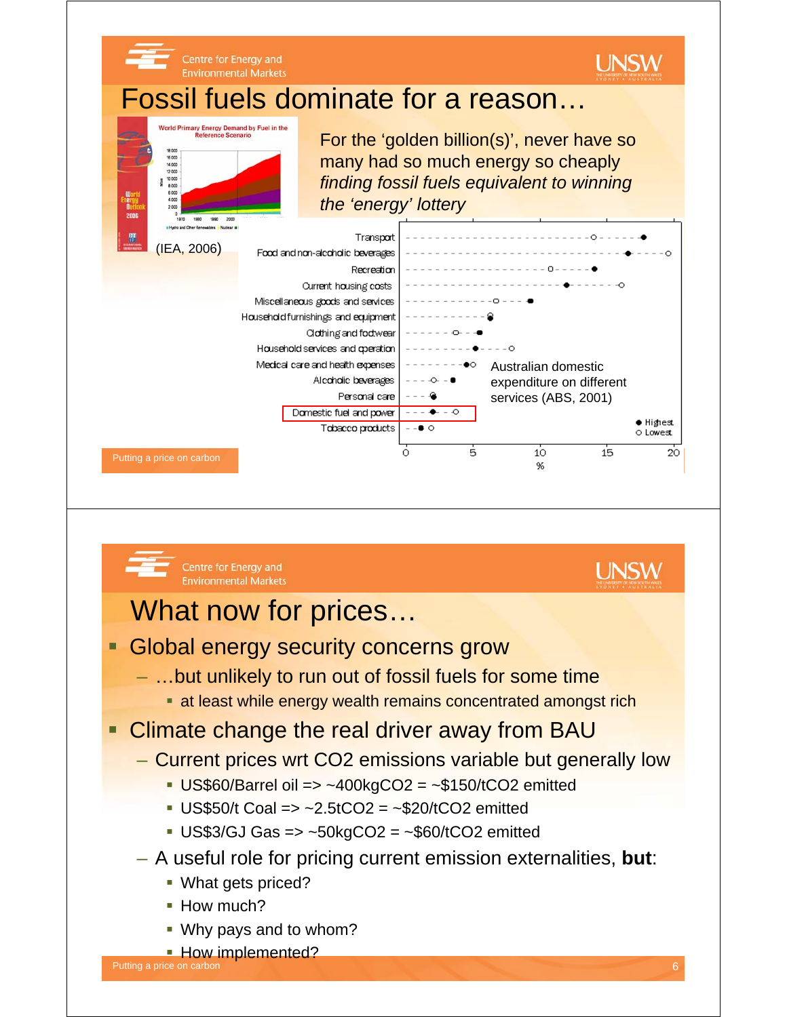

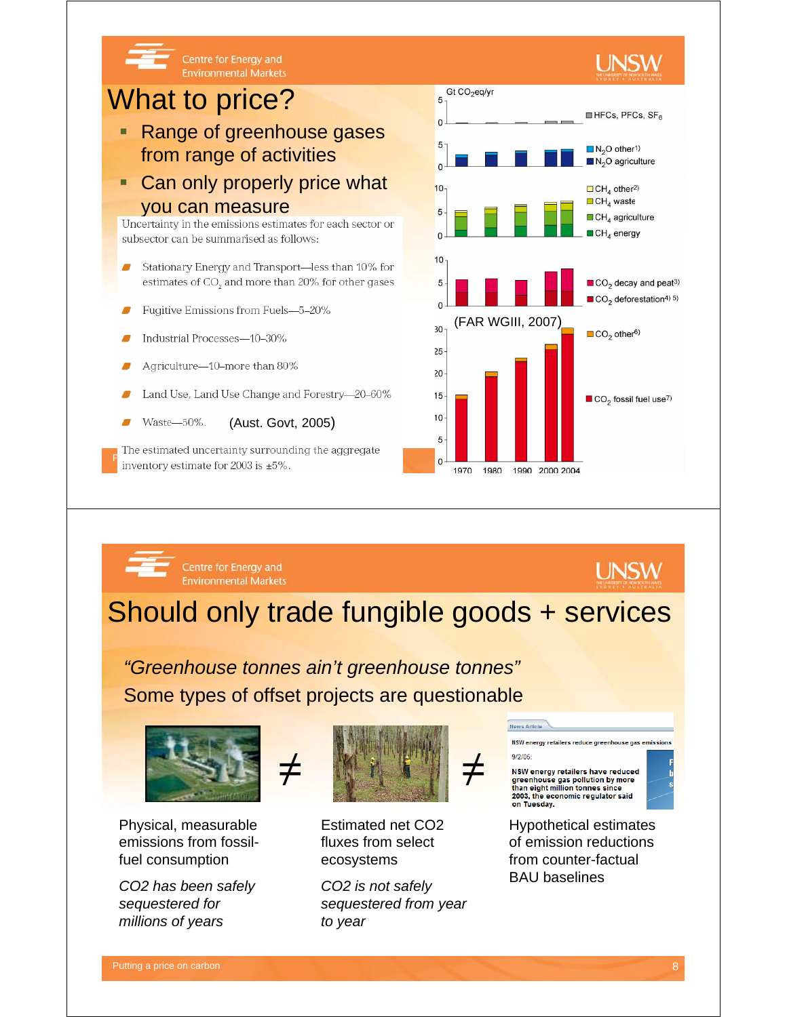

Should only trade fungible goods + services

*"Greenhouse tonnes ain't greenhouse tonnes"* Some types of offset projects are questionable



Centre for Energy and

**Environmental Markets** 

Physical, measurable emissions from fossilfuel consumption

*CO2 has been safely sequestered for millions of years*



Estimated net CO2 fluxes from select ecosystems

*CO2 is not safely sequestered from year to year*

NSW<sub>e</sub> nergy retailers reduce greenhouse gas emiss  $9/2/05$ NSW energy retailers have reduced

greenhouse gas pollution by more<br>than eight million tonnes since 2003, the economic regulator said<br>on Tuesday.

**UNSW** 

Hypothetical estimates of emission reductions from counter-factual BAU baselines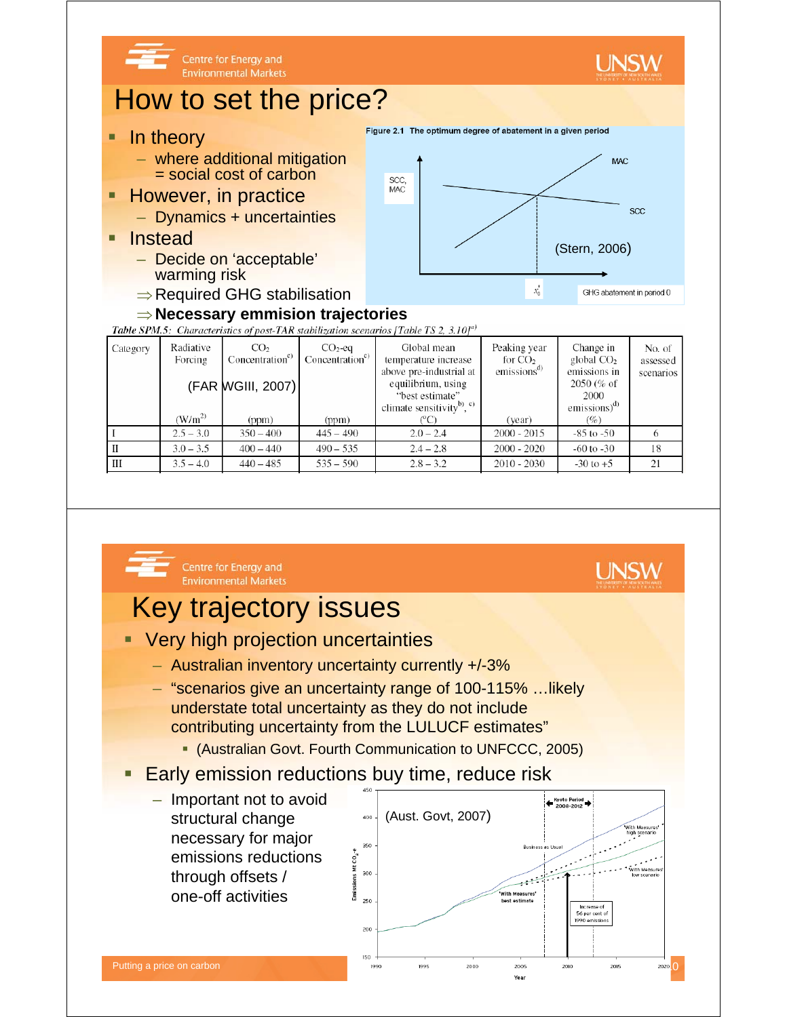

 $\frac{111}{2540}$   $\frac{140}{440}$   $\frac{485}{485}$   $\frac{535}{500}$   $\frac{532}{2832}$   $\frac{2010}{2010}$   $\frac{2010}{2030}$   $\frac{2010}{2010}$   $\frac{5}{21}$   $\frac{211}{21}$ 

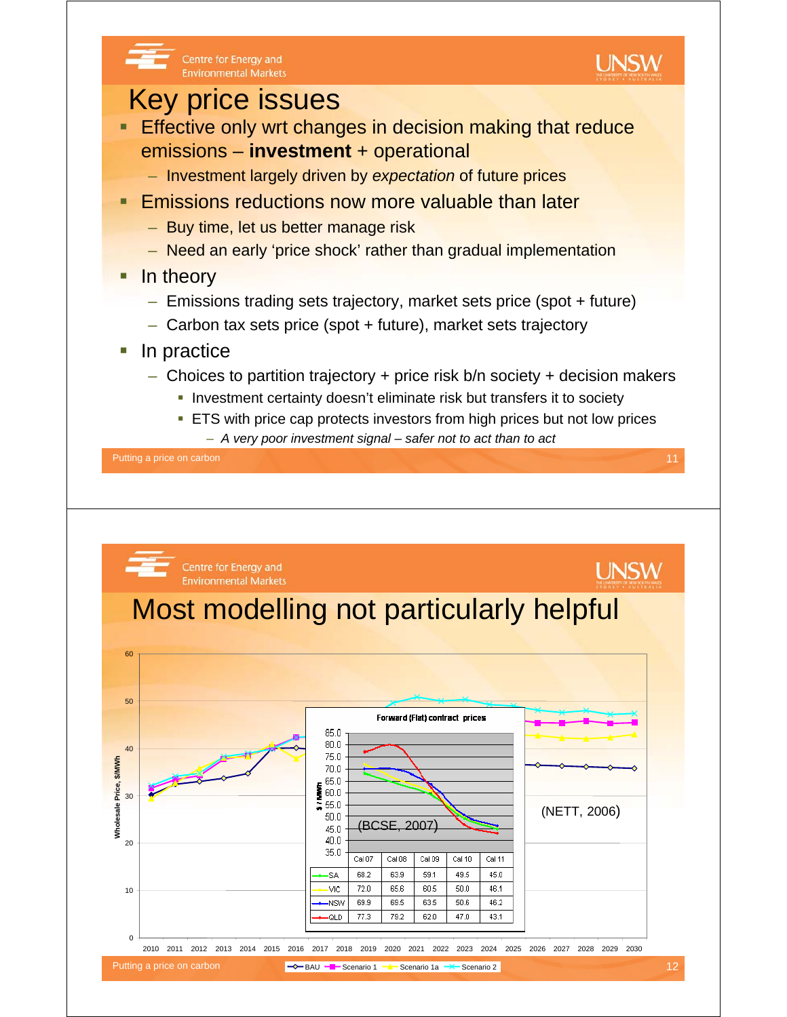

 $C<sub>8</sub>107$ 

68.2

 $72.0$ 

 $69.9$ 

77.3

Cal 08

63.9

65.6

 $69.5$ 

79.2

Cal 09

59.1

60.5

 $63.5$ 

 $620$ 

Cal 10

49.5

 $50.0$ 

 $50.6$ 

 $47n$ 

Cal 11

45.0

46.1

 $46.2$ 

43.1

45.0  $40.0$  $35.0$ 

SA

**VIC** 

**NSW** 

**QLD** 

 $\Omega$ 

10

 $20$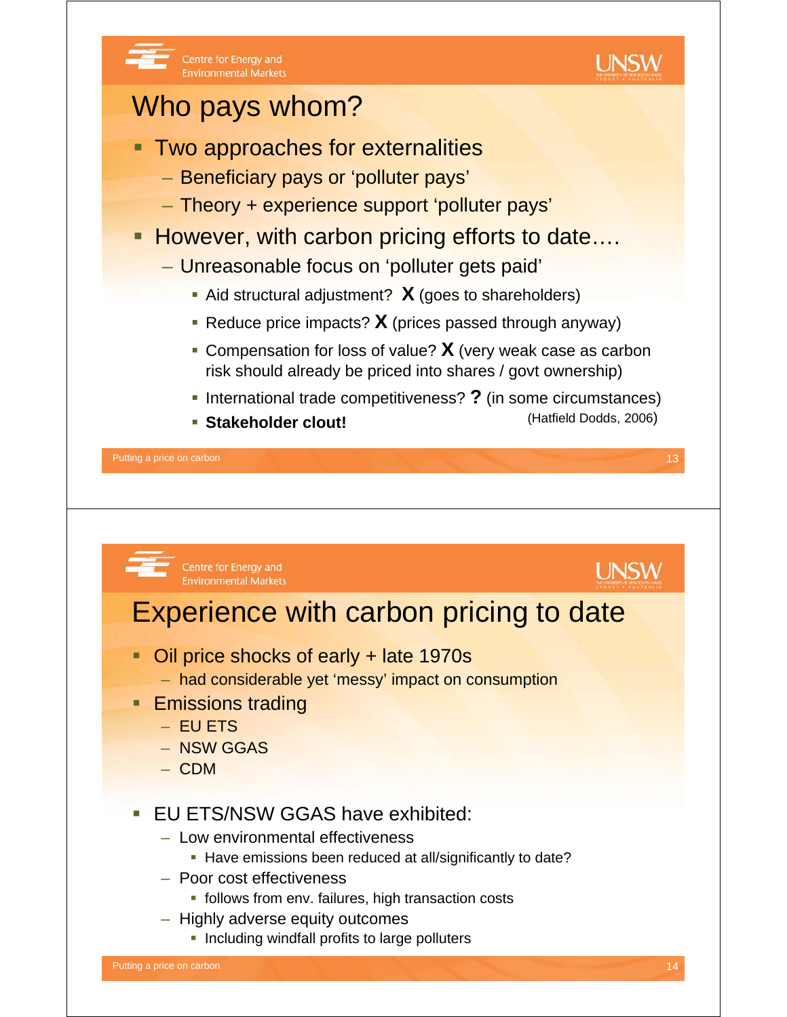

- **fiellows from env. failures, high transaction costs**
- Highly adverse equity outcomes
	- **Including windfall profits to large polluters**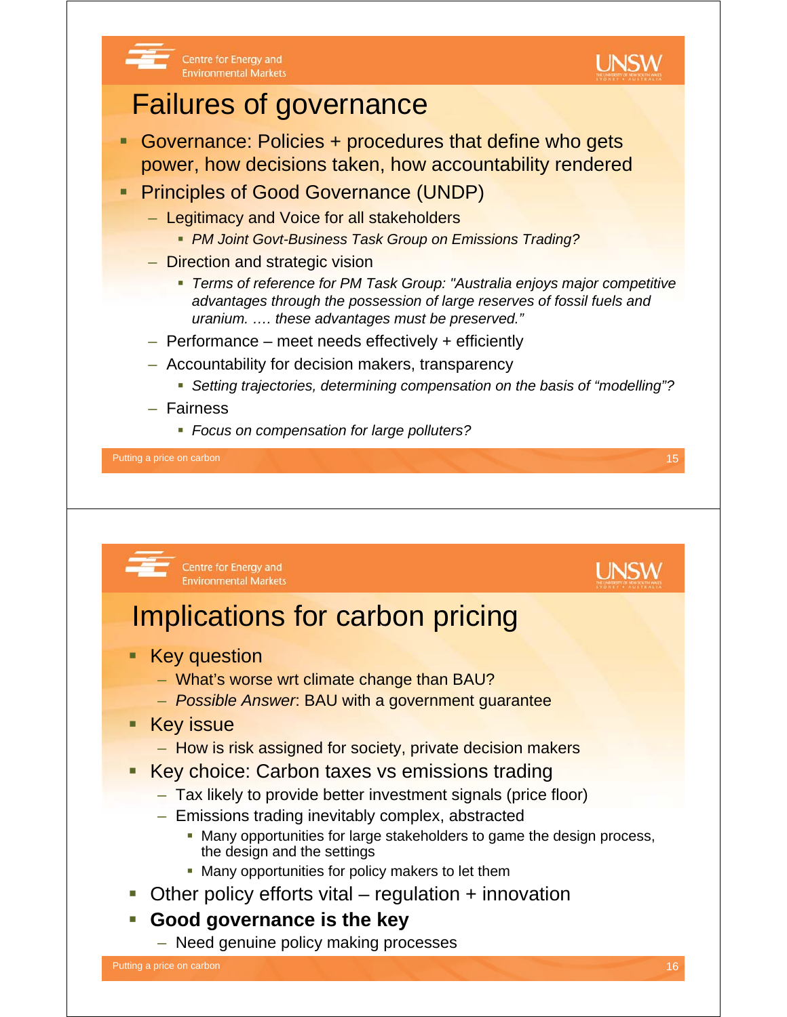

## Failures of governance

Centre for Energy and

**Environmental Markets** 

- Governance: Policies + procedures that define who gets power, how decisions taken, how accountability rendered
- **Principles of Good Governance (UNDP)** 
	- Legitimacy and Voice for all stakeholders
		- *PM Joint Govt-Business Task Group on Emissions Trading?*
	- Direction and strategic vision
		- *Terms of reference for PM Task Group: "Australia enjoys major competitive advantages through the possession of large reserves of fossil fuels and uranium. …. these advantages must be preserved."*
	- Performance meet needs effectively + efficiently
	- Accountability for decision makers, transparency
		- *Setting trajectories, determining compensation on the basis of "modelling"?*
	- Fairness
		- *Focus on compensation for large polluters?*

Putting a price on carbon 15